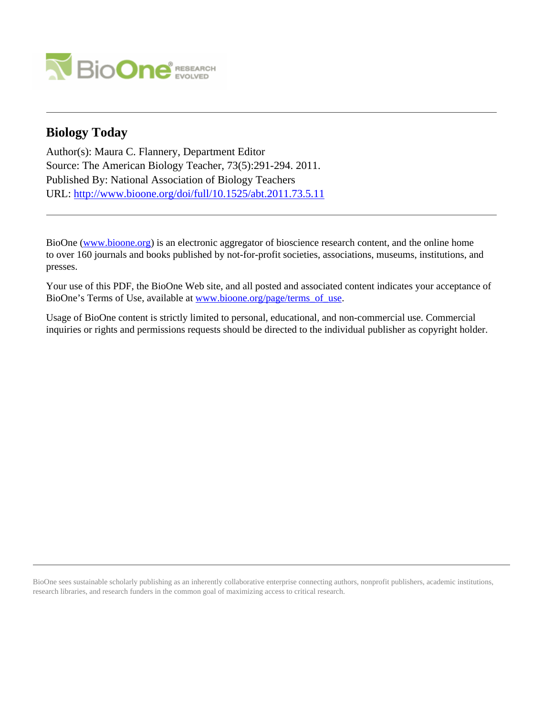

## **Biology Today**

Author(s): Maura C. Flannery, Department Editor Source: The American Biology Teacher, 73(5):291-294. 2011. Published By: National Association of Biology Teachers URL: <http://www.bioone.org/doi/full/10.1525/abt.2011.73.5.11>

BioOne [\(www.bioone.org\)](http://www.bioone.org) is an electronic aggregator of bioscience research content, and the online home to over 160 journals and books published by not-for-profit societies, associations, museums, institutions, and presses.

Your use of this PDF, the BioOne Web site, and all posted and associated content indicates your acceptance of BioOne's Terms of Use, available at [www.bioone.org/page/terms\\_of\\_use.](http://www.bioone.org/page/terms_of_use)

Usage of BioOne content is strictly limited to personal, educational, and non-commercial use. Commercial inquiries or rights and permissions requests should be directed to the individual publisher as copyright holder.

BioOne sees sustainable scholarly publishing as an inherently collaborative enterprise connecting authors, nonprofit publishers, academic institutions, research libraries, and research funders in the common goal of maximizing access to critical research.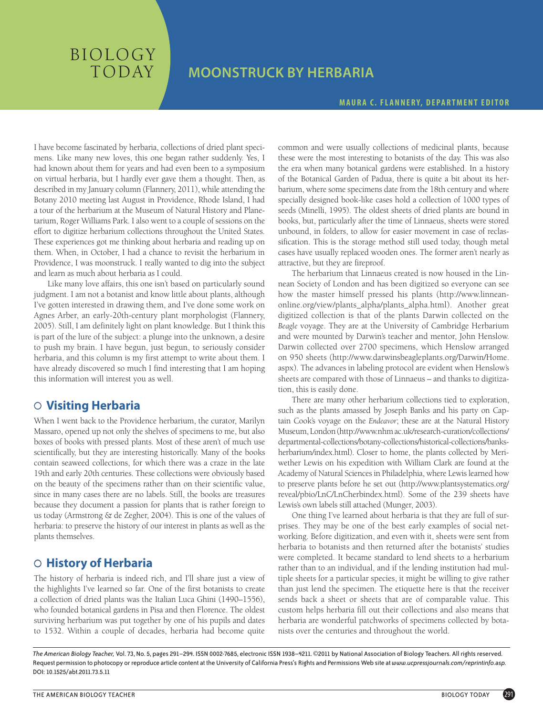# BIOLOGY

# **MOONSTRUCK BY HERBARIA**

I have become fascinated by herbaria, collections of dried plant specimens. Like many new loves, this one began rather suddenly. Yes, I had known about them for years and had even been to a symposium on virtual herbaria, but I hardly ever gave them a thought. Then, as described in my January column (Flannery, 2011), while attending the Botany 2010 meeting last August in Providence, Rhode Island, I had a tour of the herbarium at the Museum of Natural History and Planetarium, Roger Williams Park. I also went to a couple of sessions on the effort to digitize herbarium collections throughout the United States. These experiences got me thinking about herbaria and reading up on them. When, in October, I had a chance to revisit the herbarium in Providence, I was moonstruck. I really wanted to dig into the subject and learn as much about herbaria as I could.

Like many love affairs, this one isn't based on particularly sound judgment. I am not a botanist and know little about plants, although I've gotten interested in drawing them, and I've done some work on Agnes Arber, an early-20th-century plant morphologist (Flannery, 2005). Still, I am definitely light on plant knowledge. But I think this is part of the lure of the subject: a plunge into the unknown, a desire to push my brain. I have begun, just begun, to seriously consider herbaria, and this column is my first attempt to write about them. I have already discovered so much I find interesting that I am hoping this information will interest you as well.

#### J **Visiting Herbaria**

When I went back to the Providence herbarium, the curator, Marilyn Massaro, opened up not only the shelves of specimens to me, but also boxes of books with pressed plants. Most of these aren't of much use scientifically, but they are interesting historically. Many of the books contain seaweed collections, for which there was a craze in the late 19th and early 20th centuries. These collections were obviously based on the beauty of the specimens rather than on their scientific value, since in many cases there are no labels. Still, the books are treasures because they document a passion for plants that is rather foreign to us today (Armstrong & de Zegher, 2004). This is one of the values of herbaria: to preserve the history of our interest in plants as well as the plants themselves.

### O **History of Herbaria**

The history of herbaria is indeed rich, and I'll share just a view of the highlights I've learned so far. One of the first botanists to create a collection of dried plants was the Italian Luca Ghini (1490–1556), who founded botanical gardens in Pisa and then Florence. The oldest surviving herbarium was put together by one of his pupils and dates to 1532. Within a couple of decades, herbaria had become quite

common and were usually collections of medicinal plants, because these were the most interesting to botanists of the day. This was also the era when many botanical gardens were established. In a history of the Botanical Garden of Padua, there is quite a bit about its herbarium, where some specimens date from the 18th century and where specially designed book-like cases hold a collection of 1000 types of seeds (Minelli, 1995). The oldest sheets of dried plants are bound in books, but, particularly after the time of Linnaeus, sheets were stored unbound, in folders, to allow for easier movement in case of reclassification. This is the storage method still used today, though metal cases have usually replaced wooden ones. The former aren't nearly as attractive, but they are fireproof.

The herbarium that Linnaeus created is now housed in the Linnean Society of London and has been digitized so everyone can see how the master himself pressed his plants (http://www.linneanonline.org/view/plants\_alpha/plants\_alpha.html). Another great digitized collection is that of the plants Darwin collected on the *Beagle* voyage. They are at the University of Cambridge Herbarium and were mounted by Darwin's teacher and mentor, John Henslow. Darwin collected over 2700 specimens, which Henslow arranged on 950 sheets (http://www.darwinsbeagleplants.org/Darwin/Home. aspx). The advances in labeling protocol are evident when Henslow's sheets are compared with those of Linnaeus – and thanks to digitization, this is easily done.

There are many other herbarium collections tied to exploration, such as the plants amassed by Joseph Banks and his party on Captain Cook's voyage on the *Endeavor*; these are at the Natural History Museum, London (http://www.nhm ac.uk/research-curation/collections/ departmental-collections/botany-collections/historical-collections/banksherbarium/index.html). Closer to home, the plants collected by Meriwether Lewis on his expedition with William Clark are found at the Academy of Natural Sciences in Philadelphia, where Lewis learned how to preserve plants before he set out (http://www.plantsystematics.org/ reveal/pbio/LnC/LnCherbindex.html). Some of the 239 sheets have Lewis's own labels still attached (Munger, 2003).

One thing I've learned about herbaria is that they are full of surprises. They may be one of the best early examples of social networking. Before digitization, and even with it, sheets were sent from herbaria to botanists and then returned after the botanists' studies were completed. It became standard to lend sheets to a herbarium rather than to an individual, and if the lending institution had multiple sheets for a particular species, it might be willing to give rather than just lend the specimen. The etiquette here is that the receiver sends back a sheet or sheets that are of comparable value. This custom helps herbaria fill out their collections and also means that herbaria are wonderful patchworks of specimens collected by botanists over the centuries and throughout the world.

*The American Biology Teacher,* Vol. 73, No. 5, pages 291–294. ISSN 0002-7685, electronic ISSN 1938–4211. ©2011 by National Association of Biology Teachers. All rights reserved. Request permission to photocopy or reproduce article content at the University of California Press's Rights and Permissions Web site at *www.ucpressjournals.com/reprintinfo.asp.* DOI: 10.1525/abt.2011.73.5.11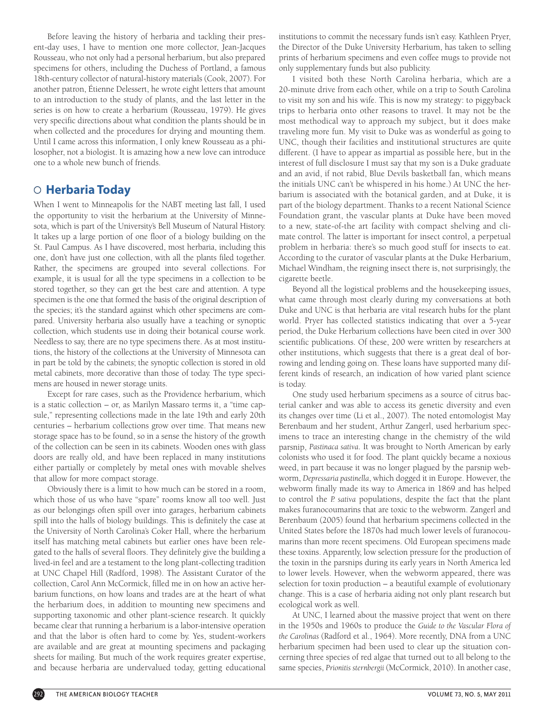Before leaving the history of herbaria and tackling their present-day uses, I have to mention one more collector, Jean-Jacques Rousseau, who not only had a personal herbarium, but also prepared specimens for others, including the Duchess of Portland, a famous 18th-century collector of natural-history materials (Cook, 2007). For another patron, Étienne Delessert, he wrote eight letters that amount to an introduction to the study of plants, and the last letter in the series is on how to create a herbarium (Rousseau, 1979). He gives very specific directions about what condition the plants should be in when collected and the procedures for drying and mounting them. Until I came across this information, I only knew Rousseau as a philosopher, not a biologist. It is amazing how a new love can introduce one to a whole new bunch of friends.

#### O **Herbaria Today**

When I went to Minneapolis for the NABT meeting last fall, I used the opportunity to visit the herbarium at the University of Minnesota, which is part of the University's Bell Museum of Natural History. It takes up a large portion of one floor of a biology building on the St. Paul Campus. As I have discovered, most herbaria, including this one, don't have just one collection, with all the plants filed together. Rather, the specimens are grouped into several collections. For example, it is usual for all the type specimens in a collection to be stored together, so they can get the best care and attention. A type specimen is the one that formed the basis of the original description of the species; it's the standard against which other specimens are compared. University herbaria also usually have a teaching or synoptic collection, which students use in doing their botanical course work. Needless to say, there are no type specimens there. As at most institutions, the history of the collections at the University of Minnesota can in part be told by the cabinets; the synoptic collection is stored in old metal cabinets, more decorative than those of today. The type specimens are housed in newer storage units.

Except for rare cases, such as the Providence herbarium, which is a static collection – or, as Marilyn Massaro terms it, a "time capsule," representing collections made in the late 19th and early 20th centuries – herbarium collections grow over time. That means new storage space has to be found, so in a sense the history of the growth of the collection can be seen in its cabinets. Wooden ones with glass doors are really old, and have been replaced in many institutions either partially or completely by metal ones with movable shelves that allow for more compact storage.

Obviously there is a limit to how much can be stored in a room, which those of us who have "spare" rooms know all too well. Just as our belongings often spill over into garages, herbarium cabinets spill into the halls of biology buildings. This is definitely the case at the University of North Carolina's Coker Hall, where the herbarium itself has matching metal cabinets but earlier ones have been relegated to the halls of several floors. They definitely give the building a lived-in feel and are a testament to the long plant-collecting tradition at UNC Chapel Hill (Radford, 1998). The Assistant Curator of the collection, Carol Ann McCormick, filled me in on how an active herbarium functions, on how loans and trades are at the heart of what the herbarium does, in addition to mounting new specimens and supporting taxonomic and other plant-science research. It quickly became clear that running a herbarium is a labor-intensive operation and that the labor is often hard to come by. Yes, student-workers are available and are great at mounting specimens and packaging sheets for mailing. But much of the work requires greater expertise, and because herbaria are undervalued today, getting educational institutions to commit the necessary funds isn't easy. Kathleen Pryer, the Director of the Duke University Herbarium, has taken to selling prints of herbarium specimens and even coffee mugs to provide not only supplementary funds but also publicity.

I visited both these North Carolina herbaria, which are a 20-minute drive from each other, while on a trip to South Carolina to visit my son and his wife. This is now my strategy: to piggyback trips to herbaria onto other reasons to travel. It may not be the most methodical way to approach my subject, but it does make traveling more fun. My visit to Duke was as wonderful as going to UNC, though their facilities and institutional structures are quite different. (I have to appear as impartial as possible here, but in the interest of full disclosure I must say that my son is a Duke graduate and an avid, if not rabid, Blue Devils basketball fan, which means the initials UNC can't be whispered in his home.) At UNC the herbarium is associated with the botanical garden, and at Duke, it is part of the biology department. Thanks to a recent National Science Foundation grant, the vascular plants at Duke have been moved to a new, state-of-the art facility with compact shelving and climate control. The latter is important for insect control, a perpetual problem in herbaria: there's so much good stuff for insects to eat. According to the curator of vascular plants at the Duke Herbarium, Michael Windham, the reigning insect there is, not surprisingly, the cigarette beetle.

Beyond all the logistical problems and the housekeeping issues, what came through most clearly during my conversations at both Duke and UNC is that herbaria are vital research hubs for the plant world. Pryer has collected statistics indicating that over a 5-year period, the Duke Herbarium collections have been cited in over 300 scientific publications. Of these, 200 were written by researchers at other institutions, which suggests that there is a great deal of borrowing and lending going on. These loans have supported many different kinds of research, an indication of how varied plant science is today.

One study used herbarium specimens as a source of citrus bacterial canker and was able to access its genetic diversity and even its changes over time (Li et al., 2007). The noted entomologist May Berenbaum and her student, Arthur Zangerl, used herbarium specimens to trace an interesting change in the chemistry of the wild parsnip, *Pastinaca sativa*. It was brought to North American by early colonists who used it for food. The plant quickly became a noxious weed, in part because it was no longer plagued by the parsnip webworm, *Depressaria pastinella*, which dogged it in Europe. However, the webworm finally made its way to America in 1869 and has helped to control the *P. sativa* populations, despite the fact that the plant makes furanocoumarins that are toxic to the webworm. Zangerl and Berenbaum (2005) found that herbarium specimens collected in the United States before the 1870s had much lower levels of furanocoumarins than more recent specimens. Old European specimens made these toxins. Apparently, low selection pressure for the production of the toxin in the parsnips during its early years in North America led to lower levels. However, when the webworm appeared, there was selection for toxin production – a beautiful example of evolutionary change. This is a case of herbaria aiding not only plant research but ecological work as well.

At UNC, I learned about the massive project that went on there in the 1950s and 1960s to produce the *Guide to the Vascular Flora of the Carolinas* (Radford et al., 1964). More recently, DNA from a UNC herbarium specimen had been used to clear up the situation concerning three species of red algae that turned out to all belong to the same species, *Prionitis sternbergii* (McCormick, 2010). In another case,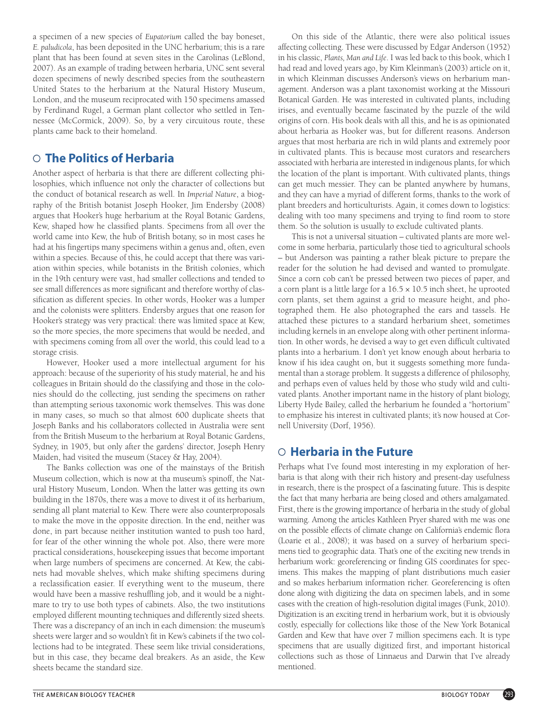a specimen of a new species of *Eupatorium* called the bay boneset, *E. paludicola*, has been deposited in the UNC herbarium; this is a rare plant that has been found at seven sites in the Carolinas (LeBlond, 2007). As an example of trading between herbaria, UNC sent several dozen specimens of newly described species from the southeastern United States to the herbarium at the Natural History Museum, London, and the museum reciprocated with 150 specimens amassed by Ferdinand Rugel, a German plant collector who settled in Tennessee (McCormick, 2009). So, by a very circuitous route, these plants came back to their homeland.

#### O **The Politics of Herbaria**

Another aspect of herbaria is that there are different collecting philosophies, which influence not only the character of collections but the conduct of botanical research as well. In *Imperial Nature*, a biography of the British botanist Joseph Hooker, Jim Endersby (2008) argues that Hooker's huge herbarium at the Royal Botanic Gardens, Kew, shaped how he classified plants. Specimens from all over the world came into Kew, the hub of British botany, so in most cases he had at his fingertips many specimens within a genus and, often, even within a species. Because of this, he could accept that there was variation within species, while botanists in the British colonies, which in the 19th century were vast, had smaller collections and tended to see small differences as more significant and therefore worthy of classification as different species. In other words, Hooker was a lumper and the colonists were splitters. Endersby argues that one reason for Hooker's strategy was very practical: there was limited space at Kew, so the more species, the more specimens that would be needed, and with specimens coming from all over the world, this could lead to a storage crisis.

However, Hooker used a more intellectual argument for his approach: because of the superiority of his study material, he and his colleagues in Britain should do the classifying and those in the colonies should do the collecting, just sending the specimens on rather than attempting serious taxonomic work themselves. This was done in many cases, so much so that almost 600 duplicate sheets that Joseph Banks and his collaborators collected in Australia were sent from the British Museum to the herbarium at Royal Botanic Gardens, Sydney, in 1905, but only after the gardens' director, Joseph Henry Maiden, had visited the museum (Stacey & Hay, 2004).

The Banks collection was one of the mainstays of the British Museum collection, which is now at tha museum's spinoff, the Natural History Museum, London. When the latter was getting its own building in the 1870s, there was a move to divest it of its herbarium, sending all plant material to Kew. There were also counterproposals to make the move in the opposite direction. In the end, neither was done, in part because neither institution wanted to push too hard, for fear of the other winning the whole pot. Also, there were more practical considerations, housekeeping issues that become important when large numbers of specimens are concerned. At Kew, the cabinets had movable shelves, which make shifting specimens during a reclassification easier. If everything went to the museum, there would have been a massive reshuffling job, and it would be a nightmare to try to use both types of cabinets. Also, the two institutions employed different mounting techniques and differently sized sheets. There was a discrepancy of an inch in each dimension: the museum's sheets were larger and so wouldn't fit in Kew's cabinets if the two collections had to be integrated. These seem like trivial considerations, but in this case, they became deal breakers. As an aside, the Kew sheets became the standard size.

On this side of the Atlantic, there were also political issues affecting collecting. These were discussed by Edgar Anderson (1952) in his classic, *Plants, Man and Life*. I was led back to this book, which I had read and loved years ago, by Kim Kleinman's (2003) article on it, in which Kleinman discusses Anderson's views on herbarium management. Anderson was a plant taxonomist working at the Missouri Botanical Garden. He was interested in cultivated plants, including irises, and eventually became fascinated by the puzzle of the wild origins of corn. His book deals with all this, and he is as opinionated about herbaria as Hooker was, but for different reasons. Anderson argues that most herbaria are rich in wild plants and extremely poor in cultivated plants. This is because most curators and researchers associated with herbaria are interested in indigenous plants, for which the location of the plant is important. With cultivated plants, things can get much messier. They can be planted anywhere by humans, and they can have a myriad of different forms, thanks to the work of plant breeders and horticulturists. Again, it comes down to logistics: dealing with too many specimens and trying to find room to store them. So the solution is usually to exclude cultivated plants.

This is not a universal situation – cultivated plants are more welcome in some herbaria, particularly those tied to agricultural schools – but Anderson was painting a rather bleak picture to prepare the reader for the solution he had devised and wanted to promulgate. Since a corn cob can't be pressed between two pieces of paper, and a corn plant is a little large for a  $16.5 \times 10.5$  inch sheet, he uprooted corn plants, set them against a grid to measure height, and photographed them. He also photographed the ears and tassels. He attached these pictures to a standard herbarium sheet, sometimes including kernels in an envelope along with other pertinent information. In other words, he devised a way to get even difficult cultivated plants into a herbarium. I don't yet know enough about herbaria to know if his idea caught on, but it suggests something more fundamental than a storage problem. It suggests a difference of philosophy, and perhaps even of values held by those who study wild and cultivated plants. Another important name in the history of plant biology, Liberty Hyde Bailey, called the herbarium he founded a "hortorium" to emphasize his interest in cultivated plants; it's now housed at Cornell University (Dorf, 1956).

### **O Herbaria in the Future**

Perhaps what I've found most interesting in my exploration of herbaria is that along with their rich history and present-day usefulness in research, there is the prospect of a fascinating future. This is despite the fact that many herbaria are being closed and others amalgamated. First, there is the growing importance of herbaria in the study of global warming. Among the articles Kathleen Pryer shared with me was one on the possible effects of climate change on California's endemic flora (Loarie et al., 2008); it was based on a survey of herbarium specimens tied to geographic data. That's one of the exciting new trends in herbarium work: georeferencing or finding GIS coordinates for specimens. This makes the mapping of plant distributions much easier and so makes herbarium information richer. Georeferencing is often done along with digitizing the data on specimen labels, and in some cases with the creation of high-resolution digital images (Funk, 2010). Digitization is an exciting trend in herbarium work, but it is obviously costly, especially for collections like those of the New York Botanical Garden and Kew that have over 7 million specimens each. It is type specimens that are usually digitized first, and important historical collections such as those of Linnaeus and Darwin that I've already mentioned.